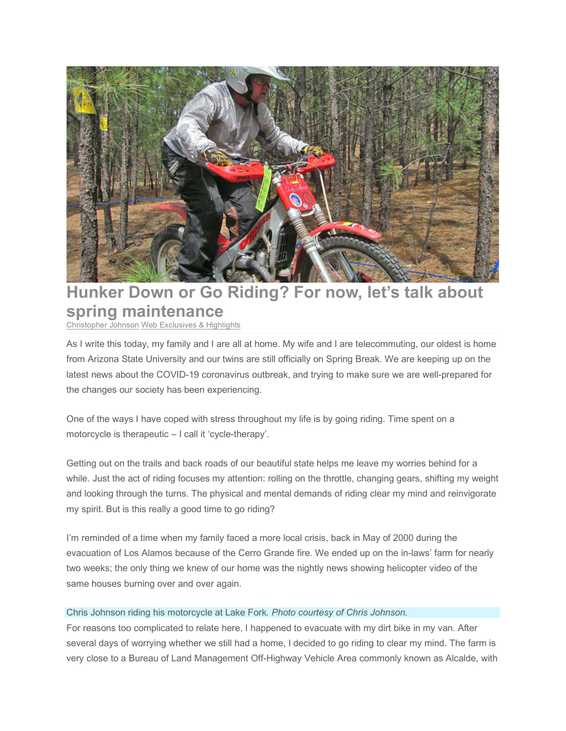

## **Hunker Down or Go Riding? For now, let's talk about spring maintenance**

Christopher Johnson Web Exclusives & Highlights

As I write this today, my family and I are all at home. My wife and I are telecommuting, our oldest is home from Arizona State University and our twins are still officially on Spring Break. We are keeping up on the latest news about the COVID-19 coronavirus outbreak, and trying to make sure we are well-prepared for the changes our society has been experiencing.

One of the ways I have coped with stress throughout my life is by going riding. Time spent on a motorcycle is therapeutic – I call it 'cycle-therapy'.

Getting out on the trails and back roads of our beautiful state helps me leave my worries behind for a while. Just the act of riding focuses my attention: rolling on the throttle, changing gears, shifting my weight and looking through the turns. The physical and mental demands of riding clear my mind and reinvigorate my spirit. But is this really a good time to go riding?

I'm reminded of a time when my family faced a more local crisis, back in May of 2000 during the evacuation of Los Alamos because of the Cerro Grande fire. We ended up on the in-laws' farm for nearly two weeks; the only thing we knew of our home was the nightly news showing helicopter video of the same houses burning over and over again.

## Chris Johnson riding his motorcycle at Lake Fork. *Photo courtesy of Chris Johnson.*

For reasons too complicated to relate here, I happened to evacuate with my dirt bike in my van. After several days of worrying whether we still had a home, I decided to go riding to clear my mind. The farm is very close to a Bureau of Land Management Off-Highway Vehicle Area commonly known as Alcalde, with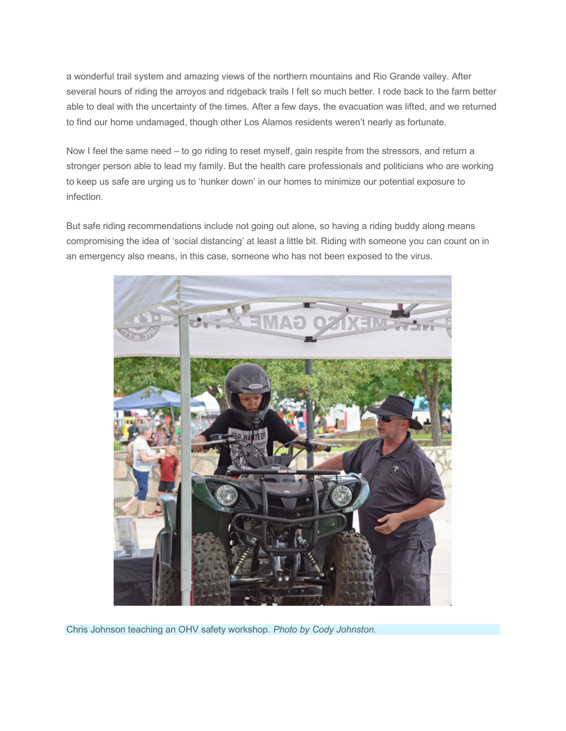a wonderful trail system and amazing views of the northern mountains and Rio Grande valley. After several hours of riding the arroyos and ridgeback trails I felt so much better. I rode back to the farm better able to deal with the uncertainty of the times. After a few days, the evacuation was lifted, and we returned to find our home undamaged, though other Los Alamos residents weren't nearly as fortunate.

Now I feel the same need – to go riding to reset myself, gain respite from the stressors, and return a stronger person able to lead my family. But the health care professionals and politicians who are working to keep us safe are urging us to 'hunker down' in our homes to minimize our potential exposure to infection.

But safe riding recommendations include not going out alone, so having a riding buddy along means compromising the idea of 'social distancing' at least a little bit. Riding with someone you can count on in an emergency also means, in this case, someone who has not been exposed to the virus.



Chris Johnson teaching an OHV safety workshop. *Photo by Cody Johnston.*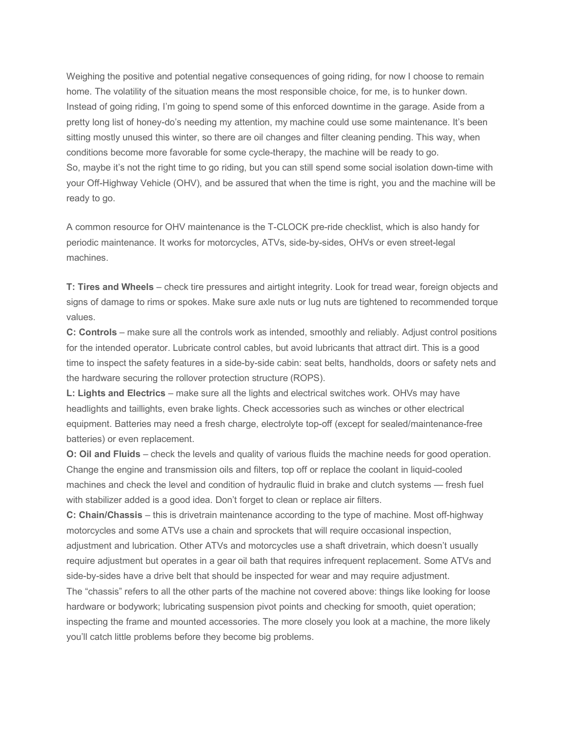Weighing the positive and potential negative consequences of going riding, for now I choose to remain home. The volatility of the situation means the most responsible choice, for me, is to hunker down. Instead of going riding, I'm going to spend some of this enforced downtime in the garage. Aside from a pretty long list of honey-do's needing my attention, my machine could use some maintenance. It's been sitting mostly unused this winter, so there are oil changes and filter cleaning pending. This way, when conditions become more favorable for some cycle-therapy, the machine will be ready to go. So, maybe it's not the right time to go riding, but you can still spend some social isolation down-time with your Off-Highway Vehicle (OHV), and be assured that when the time is right, you and the machine will be ready to go.

A common resource for OHV maintenance is the T-CLOCK pre-ride checklist, which is also handy for periodic maintenance. It works for motorcycles, ATVs, side-by-sides, OHVs or even street-legal machines.

**T: Tires and Wheels** – check tire pressures and airtight integrity. Look for tread wear, foreign objects and signs of damage to rims or spokes. Make sure axle nuts or lug nuts are tightened to recommended torque values.

**C: Controls** – make sure all the controls work as intended, smoothly and reliably. Adjust control positions for the intended operator. Lubricate control cables, but avoid lubricants that attract dirt. This is a good time to inspect the safety features in a side-by-side cabin: seat belts, handholds, doors or safety nets and the hardware securing the rollover protection structure (ROPS).

**L: Lights and Electrics** – make sure all the lights and electrical switches work. OHVs may have headlights and taillights, even brake lights. Check accessories such as winches or other electrical equipment. Batteries may need a fresh charge, electrolyte top-off (except for sealed/maintenance-free batteries) or even replacement.

**O: Oil and Fluids** – check the levels and quality of various fluids the machine needs for good operation. Change the engine and transmission oils and filters, top off or replace the coolant in liquid-cooled machines and check the level and condition of hydraulic fluid in brake and clutch systems — fresh fuel with stabilizer added is a good idea. Don't forget to clean or replace air filters.

**C: Chain/Chassis** – this is drivetrain maintenance according to the type of machine. Most off-highway motorcycles and some ATVs use a chain and sprockets that will require occasional inspection, adjustment and lubrication. Other ATVs and motorcycles use a shaft drivetrain, which doesn't usually require adjustment but operates in a gear oil bath that requires infrequent replacement. Some ATVs and side-by-sides have a drive belt that should be inspected for wear and may require adjustment.

The "chassis" refers to all the other parts of the machine not covered above: things like looking for loose hardware or bodywork; lubricating suspension pivot points and checking for smooth, quiet operation; inspecting the frame and mounted accessories. The more closely you look at a machine, the more likely you'll catch little problems before they become big problems.